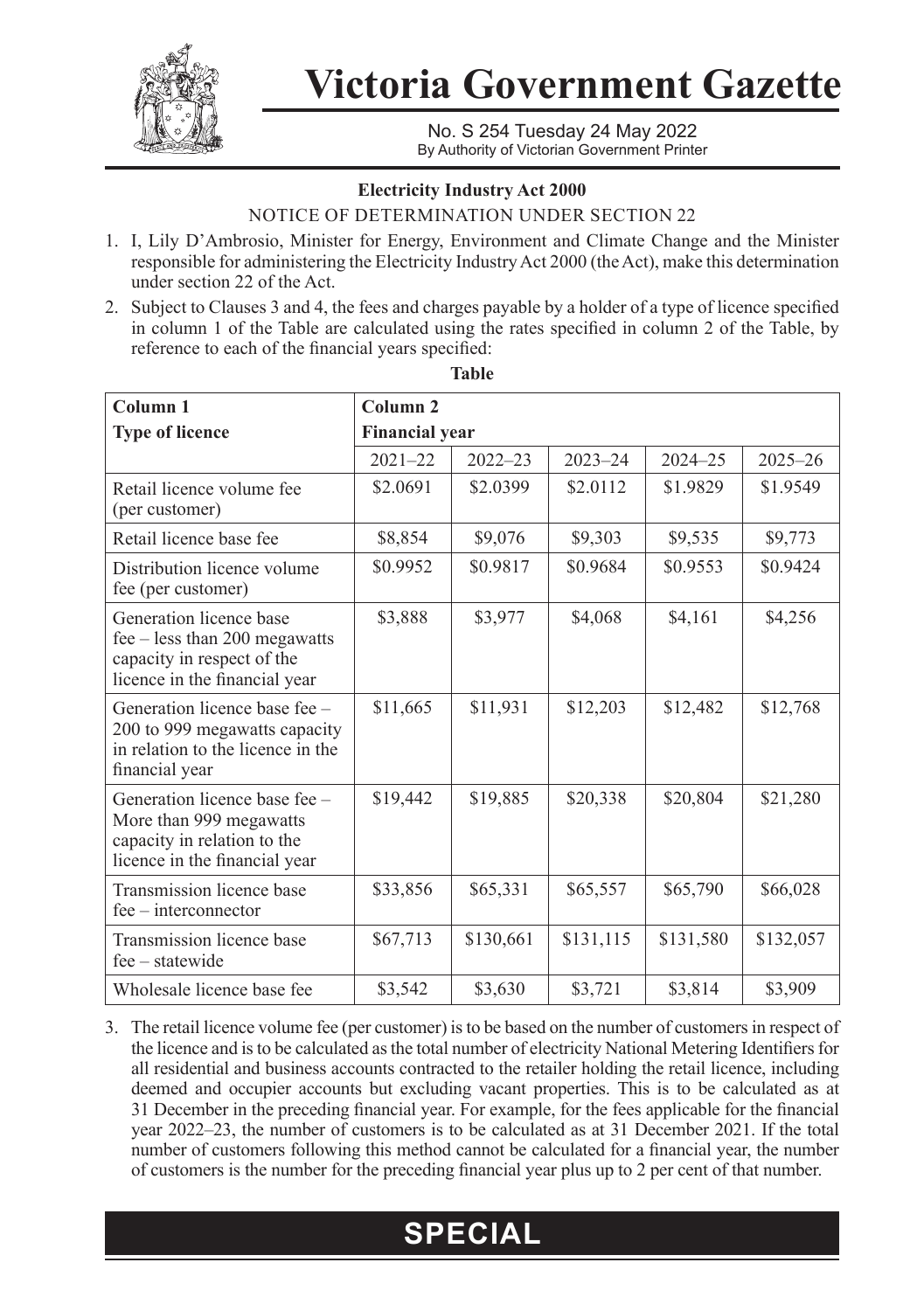

**Victoria Government Gazette**

No. S 254 Tuesday 24 May 2022 By Authority of Victorian Government Printer

#### **Electricity Industry Act 2000**

### NOTICE OF DETERMINATION UNDER SECTION 22

- 1. I, Lily D'Ambrosio, Minister for Energy, Environment and Climate Change and the Minister responsible for administering the Electricity Industry Act 2000 (the Act), make this determination under section 22 of the Act.
- 2. Subject to Clauses 3 and 4, the fees and charges payable by a holder of a type of licence specified in column 1 of the Table are calculated using the rates specified in column 2 of the Table, by reference to each of the financial years specified:

| Column <sub>1</sub>                                                                                                       | Column <sub>2</sub>   |             |             |             |             |
|---------------------------------------------------------------------------------------------------------------------------|-----------------------|-------------|-------------|-------------|-------------|
| <b>Type of licence</b>                                                                                                    | <b>Financial year</b> |             |             |             |             |
|                                                                                                                           | $2021 - 22$           | $2022 - 23$ | $2023 - 24$ | $2024 - 25$ | $2025 - 26$ |
| Retail licence volume fee<br>(per customer)                                                                               | \$2.0691              | \$2.0399    | \$2.0112    | \$1.9829    | \$1.9549    |
| Retail licence base fee                                                                                                   | \$8,854               | \$9,076     | \$9,303     | \$9,535     | \$9,773     |
| Distribution licence volume<br>fee (per customer)                                                                         | \$0.9952              | \$0.9817    | \$0.9684    | \$0.9553    | \$0.9424    |
| Generation licence base<br>$fee - less than 200 megawatts$<br>capacity in respect of the<br>licence in the financial year | \$3,888               | \$3,977     | \$4,068     | \$4,161     | \$4,256     |
| Generation licence base fee –<br>200 to 999 megawatts capacity<br>in relation to the licence in the<br>financial year     | \$11,665              | \$11,931    | \$12,203    | \$12,482    | \$12,768    |
| Generation licence base fee –<br>More than 999 megawatts<br>capacity in relation to the<br>licence in the financial year  | \$19,442              | \$19,885    | \$20,338    | \$20,804    | \$21,280    |
| Transmission licence base<br>$fee$ – interconnector                                                                       | \$33,856              | \$65,331    | \$65,557    | \$65,790    | \$66,028    |
| Transmission licence base<br>$fee - statewide$                                                                            | \$67,713              | \$130,661   | \$131,115   | \$131,580   | \$132,057   |
| Wholesale licence base fee                                                                                                | \$3,542               | \$3,630     | \$3,721     | \$3,814     | \$3,909     |

**Table**

3. The retail licence volume fee (per customer) is to be based on the number of customers in respect of the licence and is to be calculated as the total number of electricity National Metering Identifiers for all residential and business accounts contracted to the retailer holding the retail licence, including deemed and occupier accounts but excluding vacant properties. This is to be calculated as at 31 December in the preceding financial year. For example, for the fees applicable for the financial year 2022–23, the number of customers is to be calculated as at 31 December 2021. If the total number of customers following this method cannot be calculated for a financial year, the number of customers is the number for the preceding financial year plus up to 2 per cent of that number.

# **SPECIAL**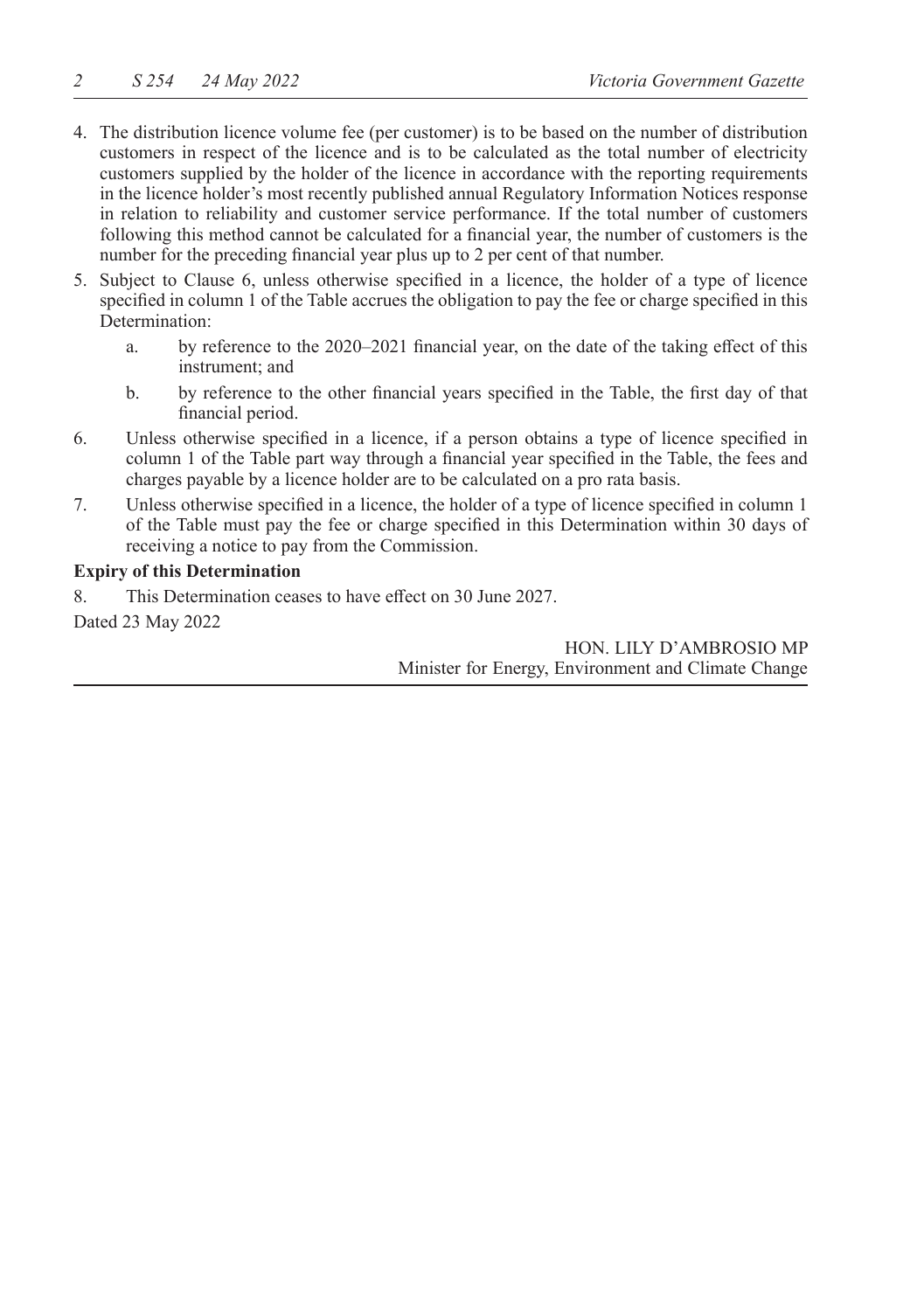- 4. The distribution licence volume fee (per customer) is to be based on the number of distribution customers in respect of the licence and is to be calculated as the total number of electricity customers supplied by the holder of the licence in accordance with the reporting requirements in the licence holder's most recently published annual Regulatory Information Notices response in relation to reliability and customer service performance. If the total number of customers following this method cannot be calculated for a financial year, the number of customers is the number for the preceding financial year plus up to 2 per cent of that number.
- 5. Subject to Clause 6, unless otherwise specified in a licence, the holder of a type of licence specified in column 1 of the Table accrues the obligation to pay the fee or charge specified in this Determination:
	- a. by reference to the 2020–2021 financial year, on the date of the taking effect of this instrument; and
	- b. by reference to the other financial years specified in the Table, the first day of that financial period.
- 6. Unless otherwise specified in a licence, if a person obtains a type of licence specified in column 1 of the Table part way through a financial year specified in the Table, the fees and charges payable by a licence holder are to be calculated on a pro rata basis.
- 7. Unless otherwise specified in a licence, the holder of a type of licence specified in column 1 of the Table must pay the fee or charge specified in this Determination within 30 days of receiving a notice to pay from the Commission.

#### **Expiry of this Determination**

8. This Determination ceases to have effect on 30 June 2027.

Dated 23 May 2022

HON. LILY D'AMBROSIO MP Minister for Energy, Environment and Climate Change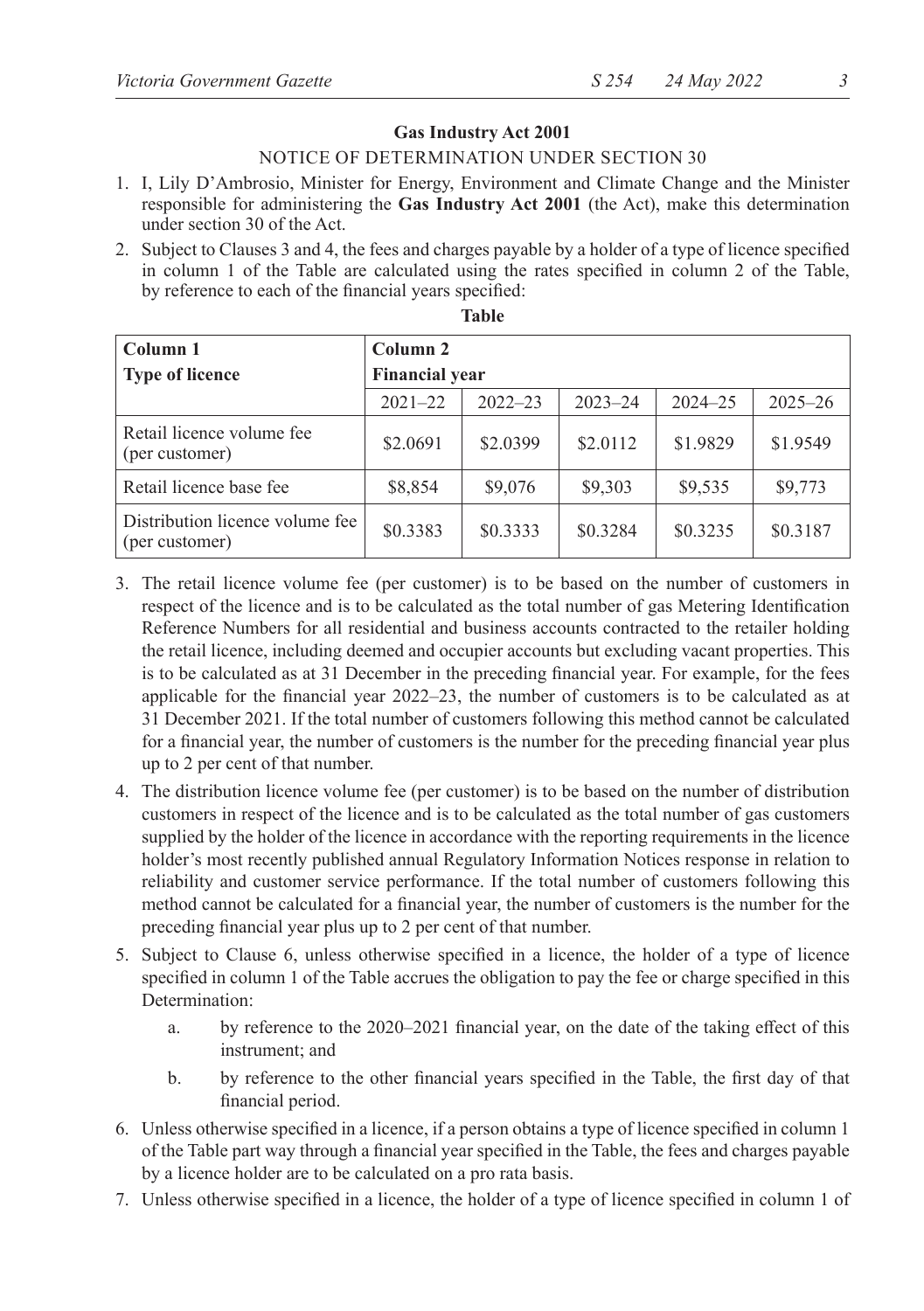#### **Gas Industry Act 2001**

#### NOTICE OF DETERMINATION UNDER SECTION 30

- 1. I, Lily D'Ambrosio, Minister for Energy, Environment and Climate Change and the Minister responsible for administering the **Gas Industry Act 2001** (the Act), make this determination under section 30 of the Act.
- 2. Subject to Clauses 3 and 4, the fees and charges payable by a holder of a type of licence specified in column 1 of the Table are calculated using the rates specified in column 2 of the Table, by reference to each of the financial years specified:

| Column 1                                          | Column 2              |             |             |             |             |
|---------------------------------------------------|-----------------------|-------------|-------------|-------------|-------------|
| <b>Type of licence</b>                            | <b>Financial year</b> |             |             |             |             |
|                                                   | $2021 - 22$           | $2022 - 23$ | $2023 - 24$ | $2024 - 25$ | $2025 - 26$ |
| Retail licence volume fee<br>(per customer)       | \$2.0691              | \$2.0399    | \$2,0112    | \$1.9829    | \$1.9549    |
| Retail licence base fee                           | \$8,854               | \$9,076     | \$9,303     | \$9,535     | \$9,773     |
| Distribution licence volume fee<br>(per customer) | \$0.3383              | \$0.3333    | \$0.3284    | \$0.3235    | \$0.3187    |

| v<br>.,<br>×<br>۰.<br>۰,<br>٠ |
|-------------------------------|
|-------------------------------|

- 3. The retail licence volume fee (per customer) is to be based on the number of customers in respect of the licence and is to be calculated as the total number of gas Metering Identification Reference Numbers for all residential and business accounts contracted to the retailer holding the retail licence, including deemed and occupier accounts but excluding vacant properties. This is to be calculated as at 31 December in the preceding financial year. For example, for the fees applicable for the financial year 2022–23, the number of customers is to be calculated as at 31 December 2021. If the total number of customers following this method cannot be calculated for a financial year, the number of customers is the number for the preceding financial year plus up to 2 per cent of that number.
- 4. The distribution licence volume fee (per customer) is to be based on the number of distribution customers in respect of the licence and is to be calculated as the total number of gas customers supplied by the holder of the licence in accordance with the reporting requirements in the licence holder's most recently published annual Regulatory Information Notices response in relation to reliability and customer service performance. If the total number of customers following this method cannot be calculated for a financial year, the number of customers is the number for the preceding financial year plus up to 2 per cent of that number.
- 5. Subject to Clause 6, unless otherwise specified in a licence, the holder of a type of licence specified in column 1 of the Table accrues the obligation to pay the fee or charge specified in this Determination:
	- a. by reference to the 2020–2021 financial year, on the date of the taking effect of this instrument; and
	- b. by reference to the other financial years specified in the Table, the first day of that financial period.
- 6. Unless otherwise specified in a licence, if a person obtains a type of licence specified in column 1 of the Table part way through a financial year specified in the Table, the fees and charges payable by a licence holder are to be calculated on a pro rata basis.
- 7. Unless otherwise specified in a licence, the holder of a type of licence specified in column 1 of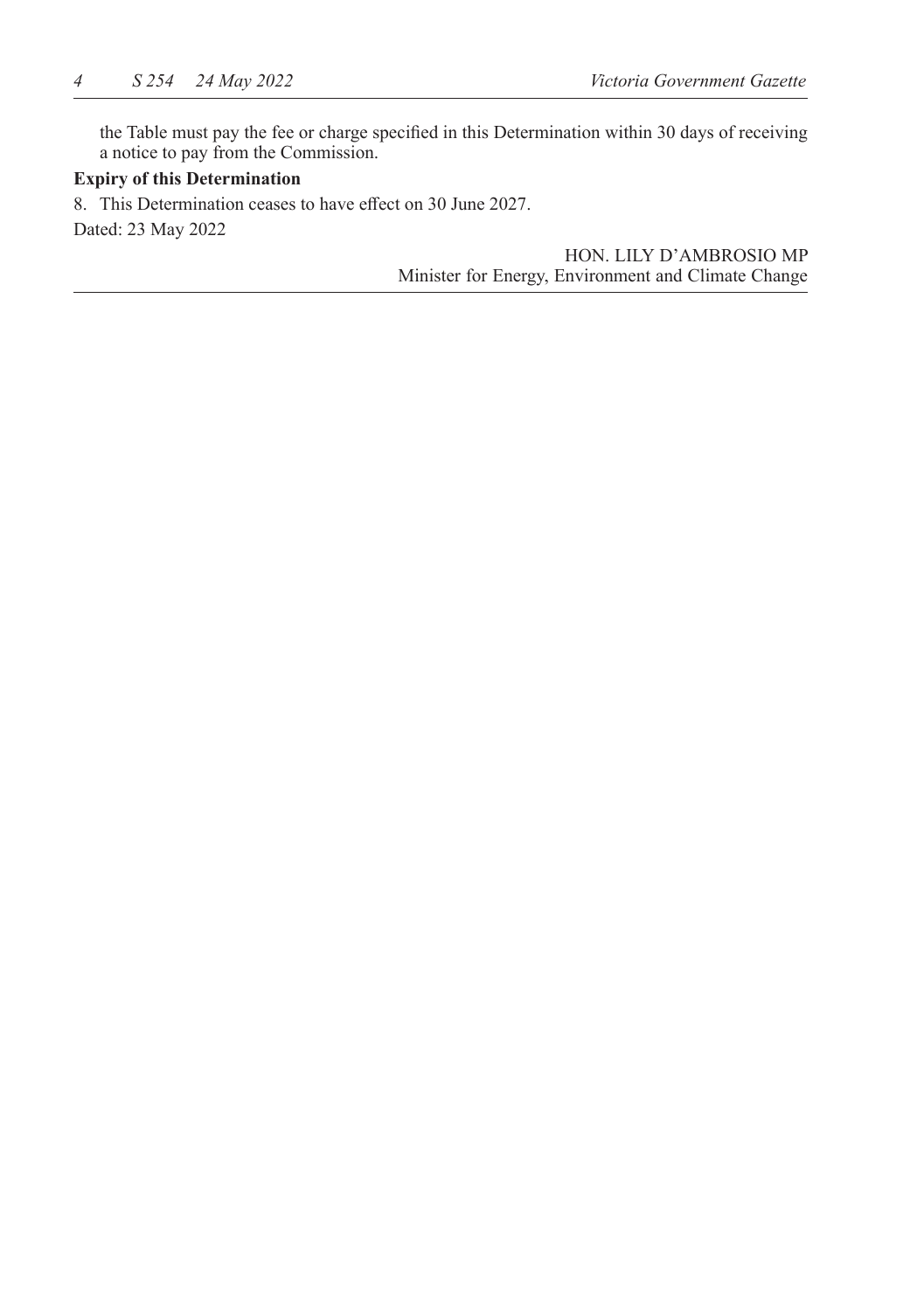the Table must pay the fee or charge specified in this Determination within 30 days of receiving a notice to pay from the Commission.

## **Expiry of this Determination**

8. This Determination ceases to have effect on 30 June 2027.

Dated: 23 May 2022

HON. LILY D'AMBROSIO MP Minister for Energy, Environment and Climate Change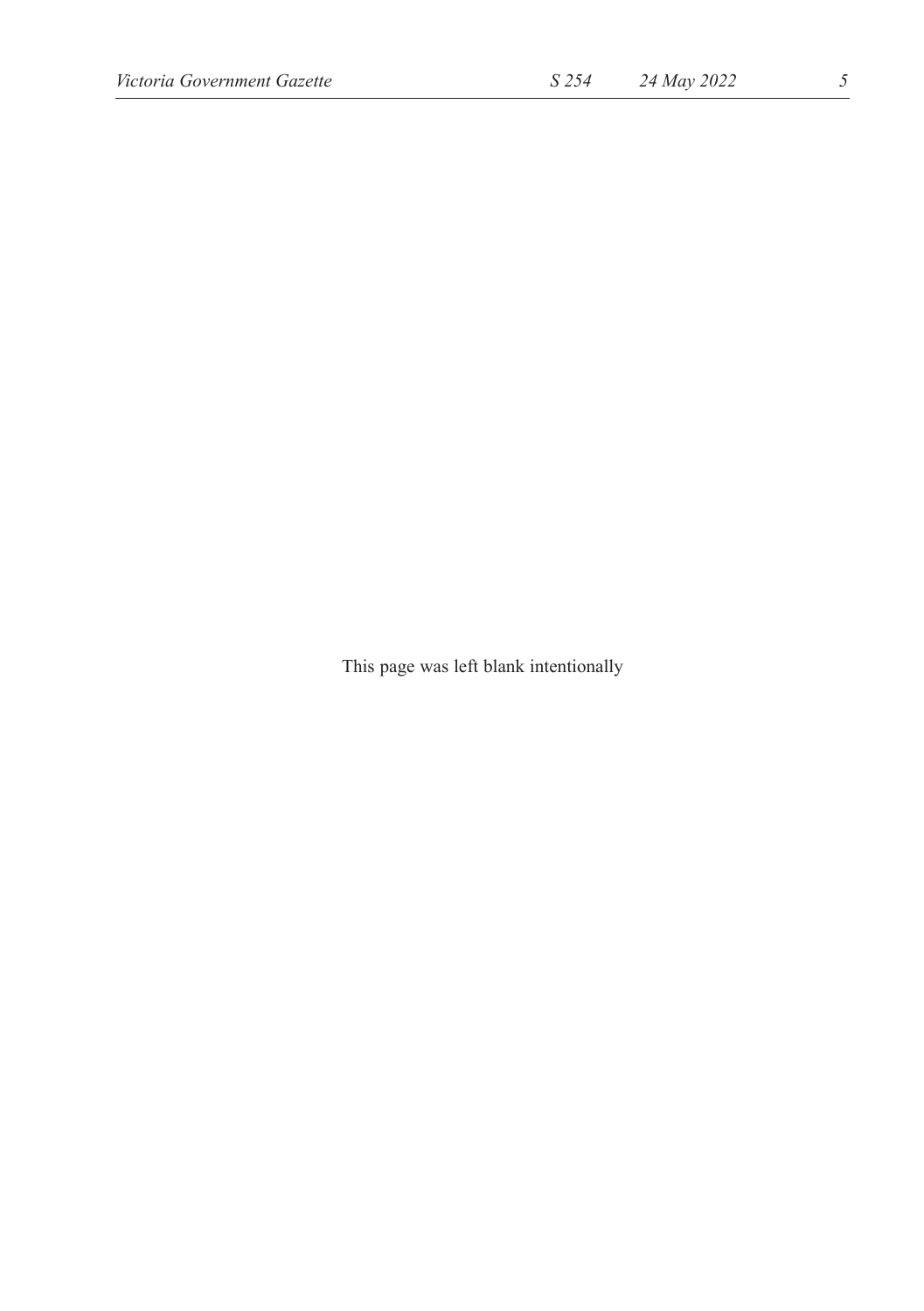This page was left blank intentionally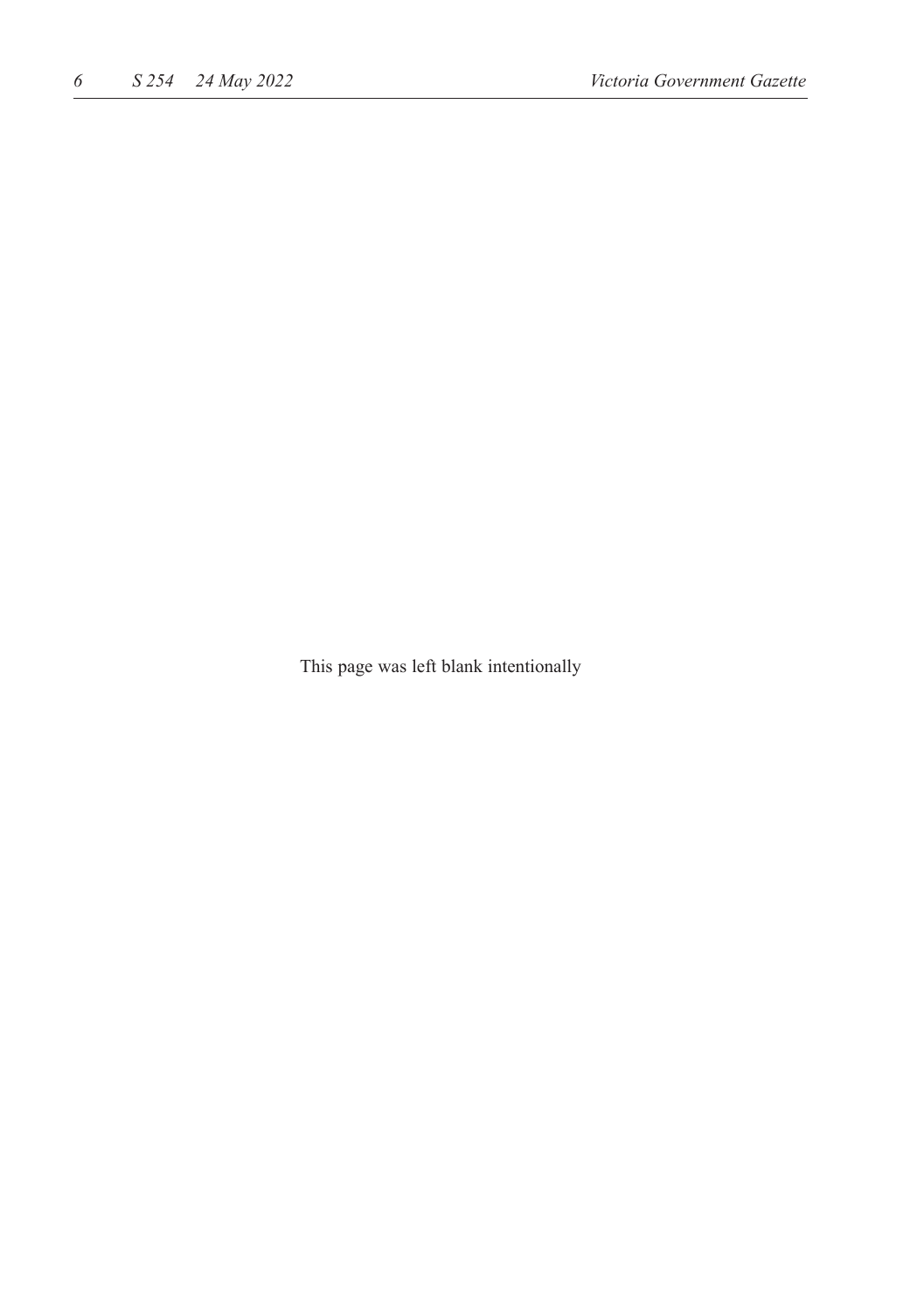This page was left blank intentionally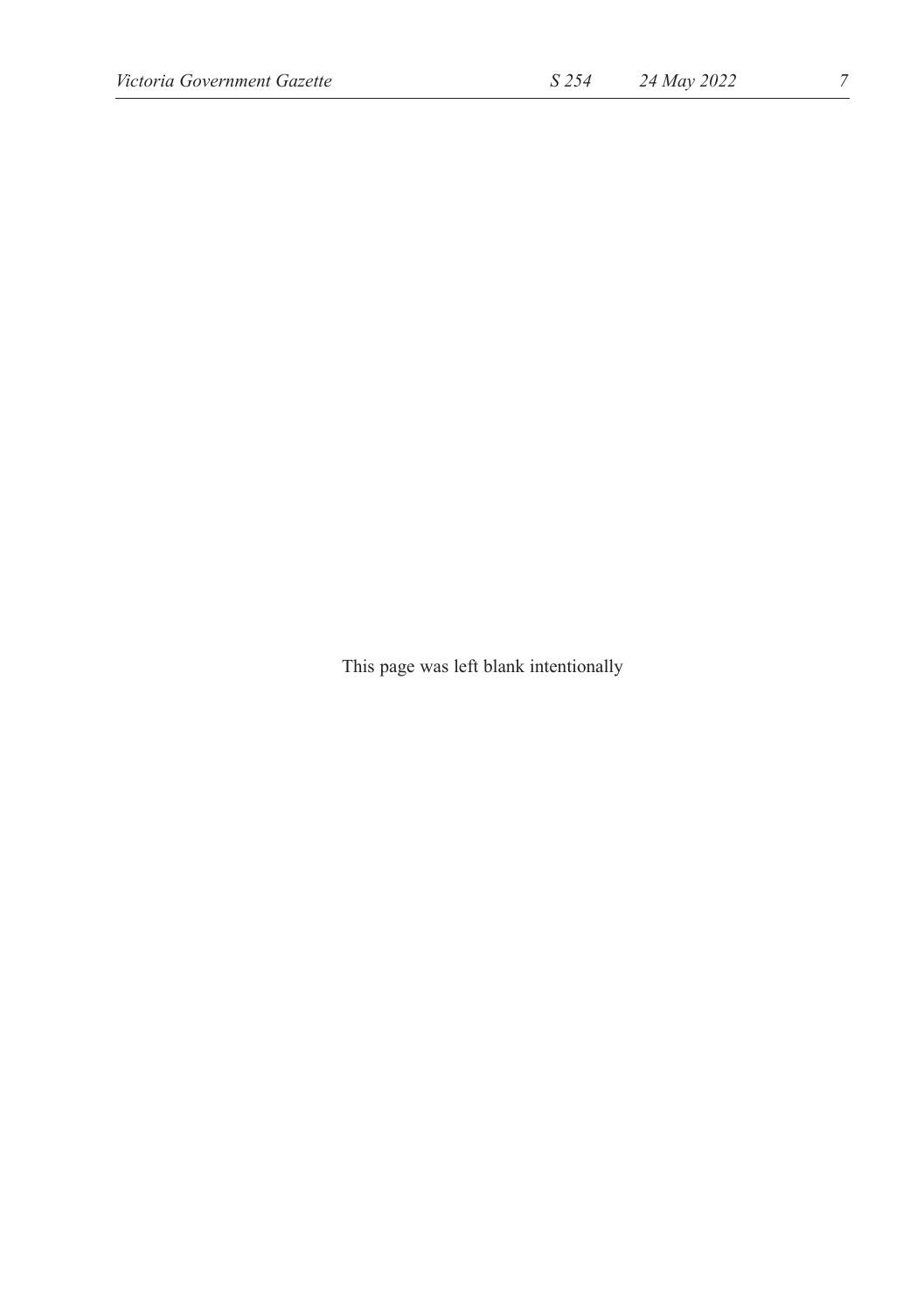This page was left blank intentionally